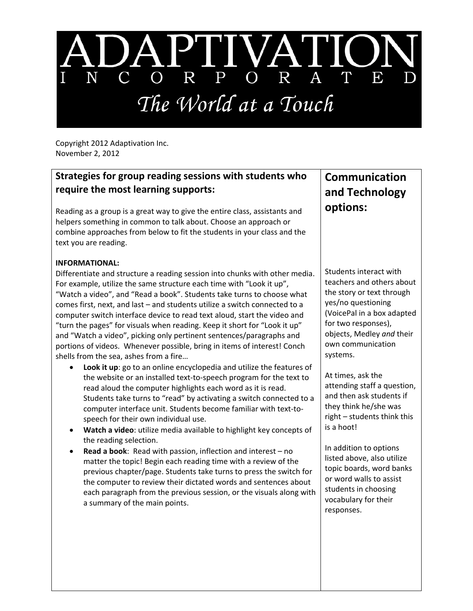

Copyright 2012 Adaptivation Inc. November 2, 2012

## **Strategies for group reading sessions with students who require the most learning supports:**

Reading as a group is a great way to give the entire class, assistants and helpers something in common to talk about. Choose an approach or combine approaches from below to fit the students in your class and the text you are reading.

## **INFORMATIONAL:**

Differentiate and structure a reading session into chunks with other media. For example, utilize the same structure each time with "Look it up", "Watch a video", and "Read a book". Students take turns to choose what comes first, next, and last – and students utilize a switch connected to a computer switch interface device to read text aloud, start the video and "turn the pages" for visuals when reading. Keep it short for "Look it up" and "Watch a video", picking only pertinent sentences/paragraphs and portions of videos. Whenever possible, bring in items of interest! Conch shells from the sea, ashes from a fire…

- **Look it up**: go to an online encyclopedia and utilize the features of the website or an installed text‐to‐speech program for the text to read aloud the computer highlights each word as it is read. Students take turns to "read" by activating a switch connected to a computer interface unit. Students become familiar with text‐to‐ speech for their own individual use.
- **Watch a video**: utilize media available to highlight key concepts of the reading selection.
- **Read a book**: Read with passion, inflection and interest no matter the topic! Begin each reading time with a review of the previous chapter/page. Students take turns to press the switch for the computer to review their dictated words and sentences about each paragraph from the previous session, or the visuals along with a summary of the main points.

## **Communication and Technology options:**

Students interact with teachers and others about the story or text through yes/no questioning (VoicePal in a box adapted for two responses), objects, Medley *and* their own communication systems.

At times, ask the attending staff a question, and then ask students if they think he/she was right – students think this is a hoot!

In addition to options listed above, also utilize topic boards, word banks or word walls to assist students in choosing vocabulary for their responses.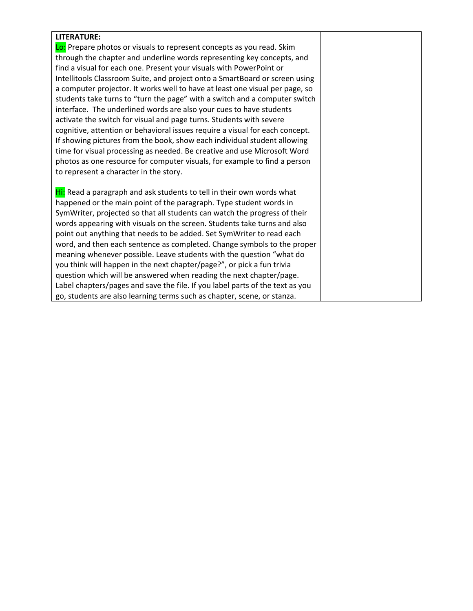## **LITERATURE:**

Lo: Prepare photos or visuals to represent concepts as you read. Skim through the chapter and underline words representing key concepts, and find a visual for each one. Present your visuals with PowerPoint or Intellitools Classroom Suite, and project onto a SmartBoard or screen using a computer projector. It works well to have at least one visual per page, so students take turns to "turn the page" with a switch and a computer switch interface. The underlined words are also your cues to have students activate the switch for visual and page turns. Students with severe cognitive, attention or behavioral issues require a visual for each concept. If showing pictures from the book, show each individual student allowing time for visual processing as needed. Be creative and use Microsoft Word photos as one resource for computer visuals, for example to find a person to represent a character in the story.

Hi: Read a paragraph and ask students to tell in their own words what happened or the main point of the paragraph. Type student words in SymWriter, projected so that all students can watch the progress of their words appearing with visuals on the screen. Students take turns and also point out anything that needs to be added. Set SymWriter to read each word, and then each sentence as completed. Change symbols to the proper meaning whenever possible. Leave students with the question "what do you think will happen in the next chapter/page?", or pick a fun trivia question which will be answered when reading the next chapter/page. Label chapters/pages and save the file. If you label parts of the text as you go, students are also learning terms such as chapter, scene, or stanza.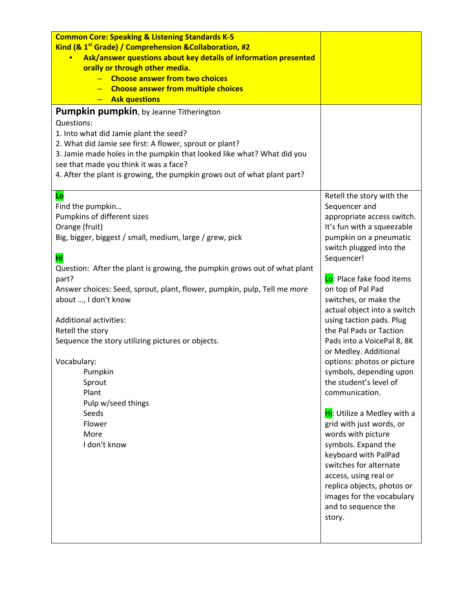| <b>Common Core: Speaking &amp; Listening Standards K-5</b>                |                                           |
|---------------------------------------------------------------------------|-------------------------------------------|
| Kind (& 1 <sup>st</sup> Grade) / Comprehension & Collaboration, #2        |                                           |
| Ask/answer questions about key details of information presented           |                                           |
| orally or through other media.                                            |                                           |
| <b>Choose answer from two choices</b>                                     |                                           |
| - Choose answer from multiple choices                                     |                                           |
| <b>Ask questions</b>                                                      |                                           |
| <b>Pumpkin pumpkin</b> , by Jeanne Titherington                           |                                           |
| Questions:                                                                |                                           |
| 1. Into what did Jamie plant the seed?                                    |                                           |
| 2. What did Jamie see first: A flower, sprout or plant?                   |                                           |
| 3. Jamie made holes in the pumpkin that looked like what? What did you    |                                           |
| see that made you think it was a face?                                    |                                           |
| 4. After the plant is growing, the pumpkin grows out of what plant part?  |                                           |
| Lo                                                                        | Retell the story with the                 |
| Find the pumpkin                                                          | Sequencer and                             |
| Pumpkins of different sizes                                               | appropriate access switch.                |
| Orange (fruit)                                                            | It's fun with a squeezable                |
| Big, bigger, biggest / small, medium, large / grew, pick                  | pumpkin on a pneumatic                    |
|                                                                           | switch plugged into the                   |
| Hi                                                                        | Sequencer!                                |
| Question: After the plant is growing, the pumpkin grows out of what plant |                                           |
| part?                                                                     | Lo: Place fake food items                 |
| Answer choices: Seed, sprout, plant, flower, pumpkin, pulp, Tell me more  | on top of Pal Pad                         |
| about , I don't know                                                      | switches, or make the                     |
|                                                                           | actual object into a switch               |
| <b>Additional activities:</b>                                             | using taction pads. Plug                  |
| Retell the story                                                          | the Pal Pads or Taction                   |
| Sequence the story utilizing pictures or objects.                         | Pads into a VoicePal 8, 8K                |
|                                                                           | or Medley. Additional                     |
| Vocabulary:                                                               | options: photos or picture                |
| Pumpkin                                                                   | symbols, depending upon                   |
| Sprout                                                                    | the student's level of                    |
| Plant                                                                     | communication.                            |
| Pulp w/seed things                                                        |                                           |
| Seeds<br>Flower                                                           | Hi: Utilize a Medley with a               |
| More                                                                      | grid with just words, or                  |
| I don't know                                                              | words with picture<br>symbols. Expand the |
|                                                                           | keyboard with PalPad                      |
|                                                                           | switches for alternate                    |
|                                                                           | access, using real or                     |
|                                                                           | replica objects, photos or                |
|                                                                           | images for the vocabulary                 |
|                                                                           | and to sequence the                       |
|                                                                           | story.                                    |
|                                                                           |                                           |
|                                                                           |                                           |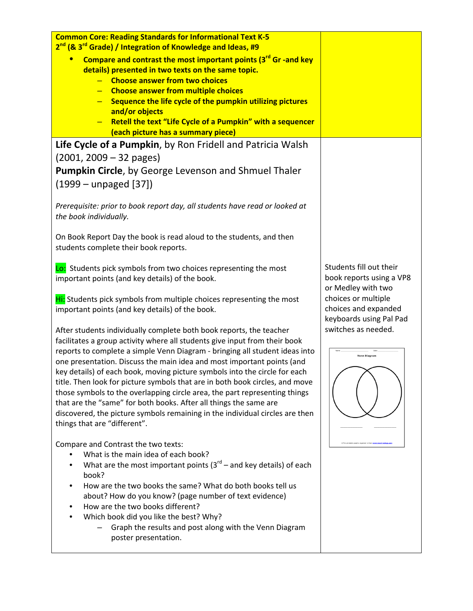| <b>Common Core: Reading Standards for Informational Text K-5</b><br>2 <sup>nd</sup> (& 3 <sup>rd</sup> Grade) / Integration of Knowledge and Ideas, #9<br>Compare and contrast the most important points (3 <sup>rd</sup> Gr -and key<br>details) presented in two texts on the same topic.<br>- Choose answer from two choices<br><b>Choose answer from multiple choices</b><br>Sequence the life cycle of the pumpkin utilizing pictures<br>and/or objects<br>Retell the text "Life Cycle of a Pumpkin" with a sequencer<br>(each picture has a summary piece)                                                                                                                                                                                                                                                                                                                                                                                                                                                                                                                                                                                                                                                                                                                                                                                                                                                                                         |                                                                                                                                                                                            |
|----------------------------------------------------------------------------------------------------------------------------------------------------------------------------------------------------------------------------------------------------------------------------------------------------------------------------------------------------------------------------------------------------------------------------------------------------------------------------------------------------------------------------------------------------------------------------------------------------------------------------------------------------------------------------------------------------------------------------------------------------------------------------------------------------------------------------------------------------------------------------------------------------------------------------------------------------------------------------------------------------------------------------------------------------------------------------------------------------------------------------------------------------------------------------------------------------------------------------------------------------------------------------------------------------------------------------------------------------------------------------------------------------------------------------------------------------------|--------------------------------------------------------------------------------------------------------------------------------------------------------------------------------------------|
| Life Cycle of a Pumpkin, by Ron Fridell and Patricia Walsh<br>$(2001, 2009 - 32$ pages)<br>Pumpkin Circle, by George Levenson and Shmuel Thaler<br>$(1999 -$ unpaged $[37])$<br>Prerequisite: prior to book report day, all students have read or looked at<br>the book individually.<br>On Book Report Day the book is read aloud to the students, and then<br>students complete their book reports.                                                                                                                                                                                                                                                                                                                                                                                                                                                                                                                                                                                                                                                                                                                                                                                                                                                                                                                                                                                                                                                    |                                                                                                                                                                                            |
| Lo: Students pick symbols from two choices representing the most<br>important points (and key details) of the book.<br>Hi: Students pick symbols from multiple choices representing the most<br>important points (and key details) of the book.<br>After students individually complete both book reports, the teacher<br>facilitates a group activity where all students give input from their book<br>reports to complete a simple Venn Diagram - bringing all student ideas into<br>one presentation. Discuss the main idea and most important points (and<br>key details) of each book, moving picture symbols into the circle for each<br>title. Then look for picture symbols that are in both book circles, and move<br>those symbols to the overlapping circle area, the part representing things<br>that are the "same" for both books. After all things the same are<br>discovered, the picture symbols remaining in the individual circles are then<br>things that are "different".<br>Compare and Contrast the two texts:<br>What is the main idea of each book?<br>What are the most important points $(3^{rd}$ – and key details) of each<br>book?<br>How are the two books the same? What do both books tell us<br>about? How do you know? (page number of text evidence)<br>How are the two books different?<br>Which book did you like the best? Why?<br>Graph the results and post along with the Venn Diagram<br>poster presentation. | Students fill out their<br>book reports using a VP8<br>or Medley with two<br>choices or multiple<br>choices and expanded<br>keyboards using Pal Pad<br>switches as needed.<br>Venn Diagran |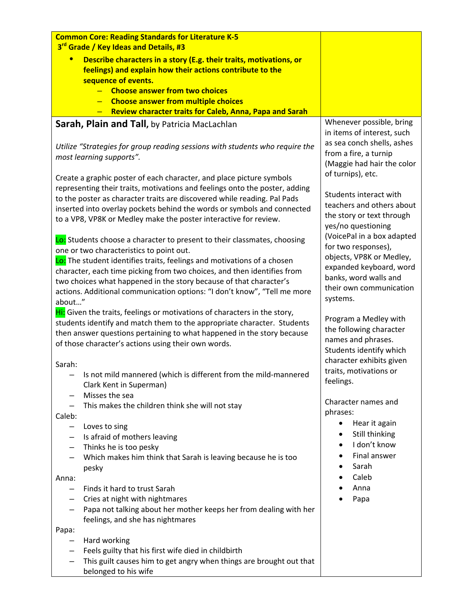| <b>Common Core: Reading Standards for Literature K-5</b>                                                                                    |                                                                                                        |
|---------------------------------------------------------------------------------------------------------------------------------------------|--------------------------------------------------------------------------------------------------------|
| 3 <sup>rd</sup> Grade / Key Ideas and Details, #3                                                                                           |                                                                                                        |
| Describe characters in a story (E.g. their traits, motivations, or<br>$\bullet$                                                             |                                                                                                        |
| feelings) and explain how their actions contribute to the                                                                                   |                                                                                                        |
| sequence of events.                                                                                                                         |                                                                                                        |
| - Choose answer from two choices                                                                                                            |                                                                                                        |
| - Choose answer from multiple choices                                                                                                       |                                                                                                        |
| <b>Review character traits for Caleb, Anna, Papa and Sarah</b>                                                                              |                                                                                                        |
| Sarah, Plain and Tall, by Patricia MacLachlan                                                                                               | Whenever possible, bring<br>in items of interest, such                                                 |
| Utilize "Strategies for group reading sessions with students who require the<br>most learning supports".                                    | as sea conch shells, ashes<br>from a fire, a turnip<br>(Maggie had hair the color<br>of turnips), etc. |
| Create a graphic poster of each character, and place picture symbols                                                                        |                                                                                                        |
| representing their traits, motivations and feelings onto the poster, adding                                                                 | Students interact with                                                                                 |
| to the poster as character traits are discovered while reading. Pal Pads                                                                    | teachers and others about                                                                              |
| inserted into overlay pockets behind the words or symbols and connected<br>to a VP8, VP8K or Medley make the poster interactive for review. | the story or text through<br>yes/no questioning                                                        |
| Lo: Students choose a character to present to their classmates, choosing<br>one or two characteristics to point out.                        | (VoicePal in a box adapted<br>for two responses),                                                      |
| Lo: The student identifies traits, feelings and motivations of a chosen                                                                     | objects, VP8K or Medley,                                                                               |
| character, each time picking from two choices, and then identifies from                                                                     | expanded keyboard, word                                                                                |
| two choices what happened in the story because of that character's                                                                          | banks, word walls and                                                                                  |
| actions. Additional communication options: "I don't know", "Tell me more                                                                    | their own communication                                                                                |
| about"                                                                                                                                      | systems.                                                                                               |
| Hi: Given the traits, feelings or motivations of characters in the story,                                                                   |                                                                                                        |
| students identify and match them to the appropriate character. Students                                                                     | Program a Medley with                                                                                  |
| then answer questions pertaining to what happened in the story because                                                                      | the following character                                                                                |
| of those character's actions using their own words.                                                                                         | names and phrases.<br>Students identify which                                                          |
|                                                                                                                                             | character exhibits given                                                                               |
| Sarah:                                                                                                                                      | traits, motivations or                                                                                 |
| Is not mild mannered (which is different from the mild-mannered<br>Clark Kent in Superman)                                                  | feelings.                                                                                              |
| Misses the sea                                                                                                                              | Character names and                                                                                    |
| This makes the children think she will not stay                                                                                             | phrases:                                                                                               |
| Caleb:                                                                                                                                      | Hear it again<br>$\bullet$                                                                             |
| Loves to sing<br>-<br>Is afraid of mothers leaving<br>—                                                                                     | Still thinking<br>$\bullet$                                                                            |
| Thinks he is too pesky                                                                                                                      | I don't know<br>$\bullet$                                                                              |
| Which makes him think that Sarah is leaving because he is too                                                                               | Final answer                                                                                           |
| pesky                                                                                                                                       | Sarah                                                                                                  |
| Anna:                                                                                                                                       | Caleb                                                                                                  |
| Finds it hard to trust Sarah<br>$\qquad \qquad$                                                                                             | Anna                                                                                                   |
| Cries at night with nightmares                                                                                                              | Papa                                                                                                   |
| Papa not talking about her mother keeps her from dealing with her                                                                           |                                                                                                        |
| feelings, and she has nightmares                                                                                                            |                                                                                                        |
| Papa:                                                                                                                                       |                                                                                                        |
| Hard working                                                                                                                                |                                                                                                        |
| Feels guilty that his first wife died in childbirth<br>—                                                                                    |                                                                                                        |
| This guilt causes him to get angry when things are brought out that<br>—<br>belonged to his wife                                            |                                                                                                        |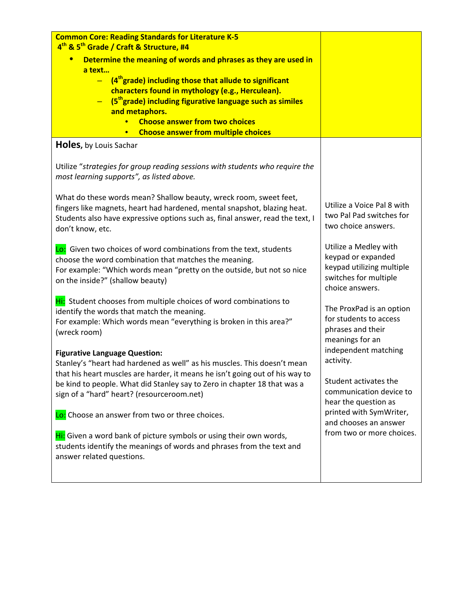| <b>Common Core: Reading Standards for Literature K-5</b><br>4 <sup>th</sup> & 5 <sup>th</sup> Grade / Craft & Structure, #4                                                                                                                                                                                                                                                                                                                    |                                                                                                                      |
|------------------------------------------------------------------------------------------------------------------------------------------------------------------------------------------------------------------------------------------------------------------------------------------------------------------------------------------------------------------------------------------------------------------------------------------------|----------------------------------------------------------------------------------------------------------------------|
| $\bullet$<br>Determine the meaning of words and phrases as they are used in<br>a text<br>$-$ (4 <sup>th</sup> grade) including those that allude to significant<br>characters found in mythology (e.g., Herculean).<br>(5 <sup>th</sup> grade) including figurative language such as similes<br>$\overline{\phantom{0}}$<br>and metaphors.<br><b>Choose answer from two choices</b><br><b>Choose answer from multiple choices</b><br>$\bullet$ |                                                                                                                      |
| <b>Holes, by Louis Sachar</b>                                                                                                                                                                                                                                                                                                                                                                                                                  |                                                                                                                      |
| Utilize "strategies for group reading sessions with students who require the<br>most learning supports", as listed above.                                                                                                                                                                                                                                                                                                                      |                                                                                                                      |
| What do these words mean? Shallow beauty, wreck room, sweet feet,<br>fingers like magnets, heart had hardened, mental snapshot, blazing heat.<br>Students also have expressive options such as, final answer, read the text, I<br>don't know, etc.                                                                                                                                                                                             | Utilize a Voice Pal 8 with<br>two Pal Pad switches for<br>two choice answers.                                        |
| Lo: Given two choices of word combinations from the text, students<br>choose the word combination that matches the meaning.<br>For example: "Which words mean "pretty on the outside, but not so nice<br>on the inside?" (shallow beauty)                                                                                                                                                                                                      | Utilize a Medley with<br>keypad or expanded<br>keypad utilizing multiple<br>switches for multiple<br>choice answers. |
| Hi: Student chooses from multiple choices of word combinations to<br>identify the words that match the meaning.<br>For example: Which words mean "everything is broken in this area?"<br>(wreck room)                                                                                                                                                                                                                                          | The ProxPad is an option<br>for students to access<br>phrases and their<br>meanings for an                           |
| <b>Figurative Language Question:</b>                                                                                                                                                                                                                                                                                                                                                                                                           | independent matching<br>activity.                                                                                    |
| Stanley's "heart had hardened as well" as his muscles. This doesn't mean<br>that his heart muscles are harder, it means he isn't going out of his way to<br>be kind to people. What did Stanley say to Zero in chapter 18 that was a<br>sign of a "hard" heart? (resourceroom.net)                                                                                                                                                             | Student activates the<br>communication device to<br>hear the question as                                             |
| Lo: Choose an answer from two or three choices.                                                                                                                                                                                                                                                                                                                                                                                                | printed with SymWriter,<br>and chooses an answer                                                                     |
| Hi: Given a word bank of picture symbols or using their own words,<br>students identify the meanings of words and phrases from the text and<br>answer related questions.                                                                                                                                                                                                                                                                       | from two or more choices.                                                                                            |
|                                                                                                                                                                                                                                                                                                                                                                                                                                                |                                                                                                                      |